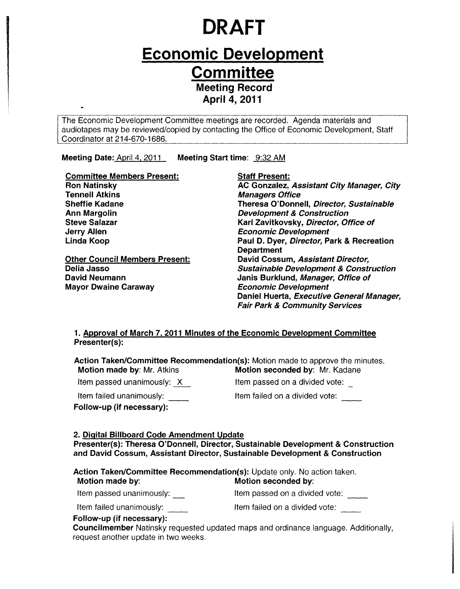# **DRAFT**

# **Economic Development Committee Meeting Record**

**April 4, 2011** 

The Economic Development Committee meetings are recorded. Agenda materials and audiotapes may be reviewed/copied by contacting the Office of Economic Development, Staff Coordinator at 214-670-1686.

Meeting Date: April 4, 2011 Meeting Start time: 9:32 AM

| <b>Committee Members Present:</b>     | <b>Staff Present:</b>                             |
|---------------------------------------|---------------------------------------------------|
| <b>Ron Natinsky</b>                   | AC Gonzalez, Assistant City Manager, City         |
| <b>Tennell Atkins</b>                 | <b>Managers Office</b>                            |
| <b>Sheffie Kadane</b>                 | Theresa O'Donnell, Director, Sustainable          |
| <b>Ann Margolin</b>                   | <b>Development &amp; Construction</b>             |
| <b>Steve Salazar</b>                  | Karl Zavitkovsky, Director, Office of             |
| <b>Jerry Allen</b>                    | <b>Economic Development</b>                       |
| Linda Koop                            | Paul D. Dyer, Director, Park & Recreation         |
|                                       | <b>Department</b>                                 |
| <b>Other Council Members Present:</b> | David Cossum, Assistant Director,                 |
| Delia Jasso                           | <b>Sustainable Development &amp; Construction</b> |
| <b>David Neumann</b>                  | Janis Burklund, Manager, Office of                |
| <b>Mayor Dwaine Caraway</b>           | <b>Economic Development</b>                       |
|                                       | Daniel Huerta, Executive General Manager,         |
|                                       | <b>Fair Park &amp; Community Services</b>         |

#### 1. Approval of March 7, 2011 Minutes of the Economic Development Committee Presenter(s):

Action Taken/Committee Recommendation(s): Motion made to approve the minutes.<br>Motion made by: Mr. Atkins **Motion seconded by**: Mr. Kadane Motion seconded by: Mr. Kadane Item passed unanimously:  $\times$ Item passed on a divided vote:

Item failed unanimously:

Follow-up (if necessary):

Item failed on a divided vote:

#### 2. Digital Billboard Code Amendment Update

Presenter(s): Theresa O'Donnell, Director, Sustainable Development & Construction and David Cossum, Assistant Director, Sustainable Development & Construction

| Action Taken/Committee Recommendation(s): Update only. No action taken. |                                |  |
|-------------------------------------------------------------------------|--------------------------------|--|
| Motion made by:                                                         | Motion seconded by:            |  |
| Item passed unanimously:                                                | Item passed on a divided vote: |  |
| Item failed unanimously:                                                | Item failed on a divided vote: |  |
| $F_n$ llow-un (if nococcary):                                           |                                |  |

Follow-up (if necessary):

Councilmember Natinsky requested updated maps and ordinance language. Additionally, request another update in two weeks.